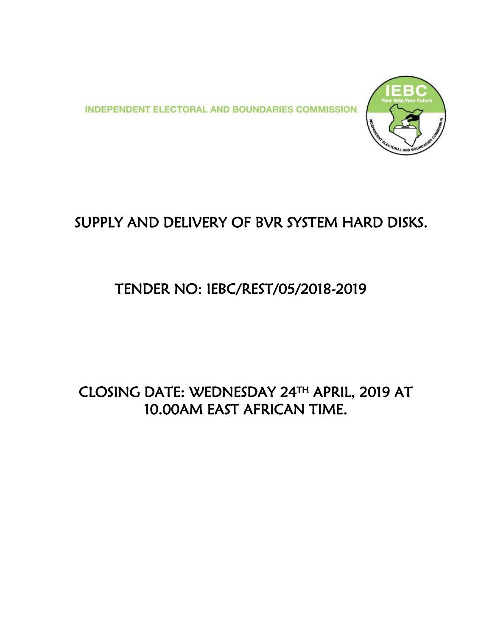**INDEPENDENT ELECTORAL AND BOUNDARIES COMMISSION** 



# SUPPLY AND DELIVERY OF BVR SYSTEM HARD DISKS.

## TENDER NO: IEBC/REST/05/2018-2019

## CLOSING DATE: WEDNESDAY 24TH APRIL, 2019 AT 10.00AM EAST AFRICAN TIME.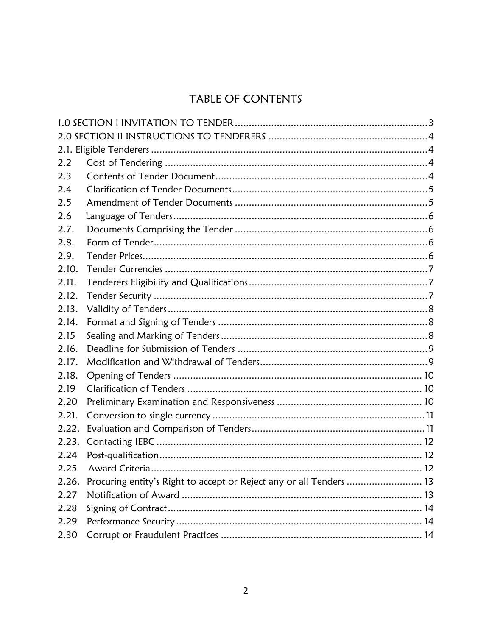## TABLE OF CONTENTS

<span id="page-1-0"></span>

| 2.2   |                                                                     |  |
|-------|---------------------------------------------------------------------|--|
| 2.3   |                                                                     |  |
| 2.4   |                                                                     |  |
| 2.5   |                                                                     |  |
| 2.6   |                                                                     |  |
| 2.7.  |                                                                     |  |
| 2.8.  |                                                                     |  |
| 2.9.  |                                                                     |  |
| 2.10. |                                                                     |  |
| 2.11. |                                                                     |  |
| 2.12. |                                                                     |  |
| 2.13. |                                                                     |  |
| 2.14. |                                                                     |  |
| 2.15  |                                                                     |  |
| 2.16. |                                                                     |  |
| 2.17. |                                                                     |  |
| 2.18. |                                                                     |  |
| 2.19  |                                                                     |  |
| 2.20  |                                                                     |  |
| 2.21. |                                                                     |  |
| 2.22. |                                                                     |  |
| 2.23. |                                                                     |  |
| 2.24  |                                                                     |  |
| 2.25  |                                                                     |  |
| 2.26. | Procuring entity's Right to accept or Reject any or all Tenders  13 |  |
| 2.27  |                                                                     |  |
| 2.28  |                                                                     |  |
| 2.29  |                                                                     |  |
| 2.30  |                                                                     |  |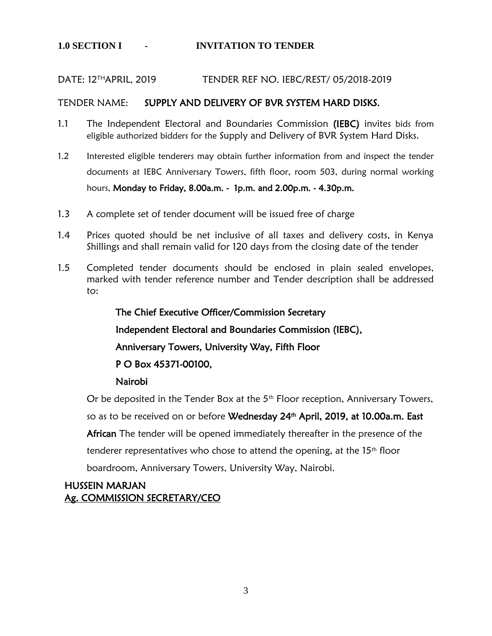#### DATE: 12THAPRIL, 2019 TENDER REF NO. IEBC/REST/ 05/2018-2019

#### TENDER NAME: SUPPLY AND DELIVERY OF BVR SYSTEM HARD DISKS.

- 1.1 The Independent Electoral and Boundaries Commission (IEBC) invites bids from eligible authorized bidders for the Supply and Delivery of BVR System Hard Disks.
- 1.2 Interested eligible tenderers may obtain further information from and inspect the tender documents at IEBC Anniversary Towers, fifth floor, room 503, during normal working hours, Monday to Friday, 8.00a.m. - 1p.m. and 2.00p.m. - 4.30p.m.
- 1.3 A complete set of tender document will be issued free of charge
- 1.4 Prices quoted should be net inclusive of all taxes and delivery costs, in Kenya Shillings and shall remain valid for 120 days from the closing date of the tender
- 1.5 Completed tender documents should be enclosed in plain sealed envelopes, marked with tender reference number and Tender description shall be addressed to:

The Chief Executive Officer/Commission Secretary Independent Electoral and Boundaries Commission (IEBC), Anniversary Towers, University Way, Fifth Floor P O Box 45371-00100,

### Nairobi

Or be deposited in the Tender Box at the 5<sup>th</sup> Floor reception, Anniversary Towers, so as to be received on or before Wednesday 24<sup>th</sup> April, 2019, at 10.00a.m. East

African The tender will be opened immediately thereafter in the presence of the

tenderer representatives who chose to attend the opening, at the  $15<sup>th</sup>$  floor

boardroom, Anniversary Towers, University Way, Nairobi.

### HUSSEIN MARJAN Ag. COMMISSION SECRETARY/CEO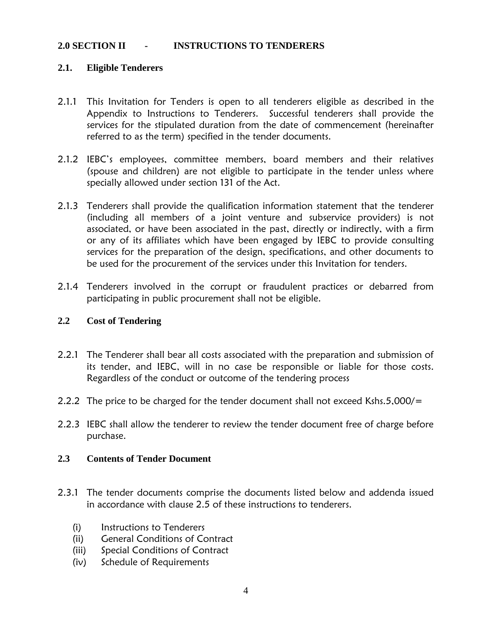### <span id="page-3-0"></span>**2.0 SECTION II - INSTRUCTIONS TO TENDERERS**

### <span id="page-3-1"></span>**2.1. Eligible Tenderers**

- 2.1.1 This Invitation for Tenders is open to all tenderers eligible as described in the Appendix to Instructions to Tenderers. Successful tenderers shall provide the services for the stipulated duration from the date of commencement (hereinafter referred to as the term) specified in the tender documents.
- 2.1.2 IEBC's employees, committee members, board members and their relatives (spouse and children) are not eligible to participate in the tender unless where specially allowed under section 131 of the Act.
- 2.1.3 Tenderers shall provide the qualification information statement that the tenderer (including all members of a joint venture and subservice providers) is not associated, or have been associated in the past, directly or indirectly, with a firm or any of its affiliates which have been engaged by IEBC to provide consulting services for the preparation of the design, specifications, and other documents to be used for the procurement of the services under this Invitation for tenders.
- 2.1.4 Tenderers involved in the corrupt or fraudulent practices or debarred from participating in public procurement shall not be eligible.

#### <span id="page-3-2"></span>**2.2 Cost of Tendering**

- 2.2.1 The Tenderer shall bear all costs associated with the preparation and submission of its tender, and IEBC, will in no case be responsible or liable for those costs. Regardless of the conduct or outcome of the tendering process
- 2.2.2 The price to be charged for the tender document shall not exceed Kshs.5,000/=
- 2.2.3 IEBC shall allow the tenderer to review the tender document free of charge before purchase.

#### <span id="page-3-3"></span>**2.3 Contents of Tender Document**

- 2.3.1 The tender documents comprise the documents listed below and addenda issued in accordance with clause 2.5 of these instructions to tenderers.
	- (i) Instructions to Tenderers
	- (ii) General Conditions of Contract
	- (iii) Special Conditions of Contract
	- (iv) Schedule of Requirements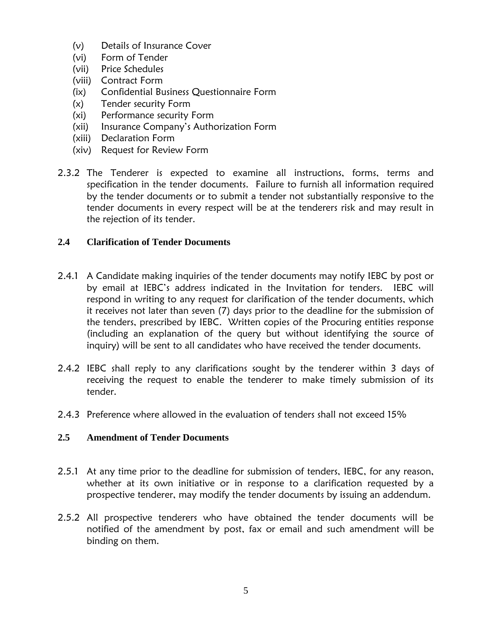- (v) Details of Insurance Cover
- (vi) Form of Tender
- (vii) Price Schedules
- (viii) Contract Form
- (ix) Confidential Business Questionnaire Form
- (x) Tender security Form
- (xi) Performance security Form
- (xii) Insurance Company's Authorization Form
- (xiii) Declaration Form
- (xiv) Request for Review Form
- 2.3.2 The Tenderer is expected to examine all instructions, forms, terms and specification in the tender documents. Failure to furnish all information required by the tender documents or to submit a tender not substantially responsive to the tender documents in every respect will be at the tenderers risk and may result in the rejection of its tender.

### <span id="page-4-0"></span>**2.4 Clarification of Tender Documents**

- 2.4.1 A Candidate making inquiries of the tender documents may notify IEBC by post or by email at IEBC's address indicated in the Invitation for tenders. IEBC will respond in writing to any request for clarification of the tender documents, which it receives not later than seven (7) days prior to the deadline for the submission of the tenders, prescribed by IEBC. Written copies of the Procuring entities response (including an explanation of the query but without identifying the source of inquiry) will be sent to all candidates who have received the tender documents.
- 2.4.2 IEBC shall reply to any clarifications sought by the tenderer within 3 days of receiving the request to enable the tenderer to make timely submission of its tender.
- 2.4.3 Preference where allowed in the evaluation of tenders shall not exceed 15%

### <span id="page-4-1"></span>**2.5 Amendment of Tender Documents**

- 2.5.1 At any time prior to the deadline for submission of tenders, IEBC, for any reason, whether at its own initiative or in response to a clarification requested by a prospective tenderer, may modify the tender documents by issuing an addendum.
- 2.5.2 All prospective tenderers who have obtained the tender documents will be notified of the amendment by post, fax or email and such amendment will be binding on them.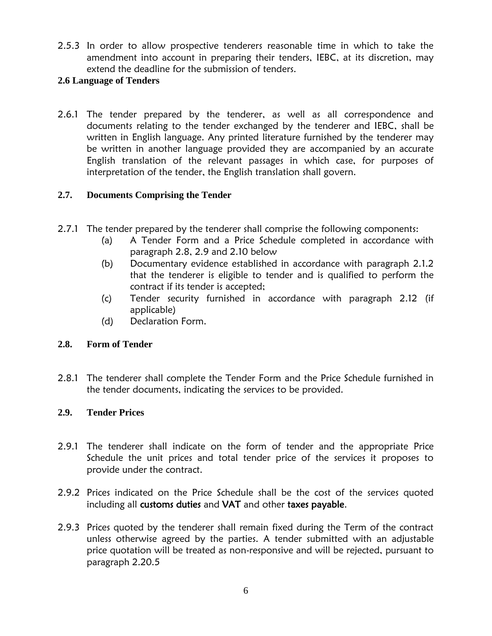2.5.3 In order to allow prospective tenderers reasonable time in which to take the amendment into account in preparing their tenders, IEBC, at its discretion, may extend the deadline for the submission of tenders.

### <span id="page-5-0"></span>**2.6 Language of Tenders**

2.6.1 The tender prepared by the tenderer, as well as all correspondence and documents relating to the tender exchanged by the tenderer and IEBC, shall be written in English language. Any printed literature furnished by the tenderer may be written in another language provided they are accompanied by an accurate English translation of the relevant passages in which case, for purposes of interpretation of the tender, the English translation shall govern.

### <span id="page-5-1"></span>**2.7. Documents Comprising the Tender**

- 2.7.1 The tender prepared by the tenderer shall comprise the following components:
	- (a) A Tender Form and a Price Schedule completed in accordance with paragraph 2.8, 2.9 and 2.10 below
	- (b) Documentary evidence established in accordance with paragraph 2.1.2 that the tenderer is eligible to tender and is qualified to perform the contract if its tender is accepted;
	- (c) Tender security furnished in accordance with paragraph 2.12 (if applicable)
	- (d) Declaration Form.

### <span id="page-5-2"></span>**2.8. Form of Tender**

2.8.1 The tenderer shall complete the Tender Form and the Price Schedule furnished in the tender documents, indicating the services to be provided.

### <span id="page-5-3"></span>**2.9. Tender Prices**

- 2.9.1 The tenderer shall indicate on the form of tender and the appropriate Price Schedule the unit prices and total tender price of the services it proposes to provide under the contract.
- 2.9.2 Prices indicated on the Price Schedule shall be the cost of the services quoted including all customs duties and VAT and other taxes payable.
- 2.9.3 Prices quoted by the tenderer shall remain fixed during the Term of the contract unless otherwise agreed by the parties. A tender submitted with an adjustable price quotation will be treated as non-responsive and will be rejected, pursuant to paragraph 2.20.5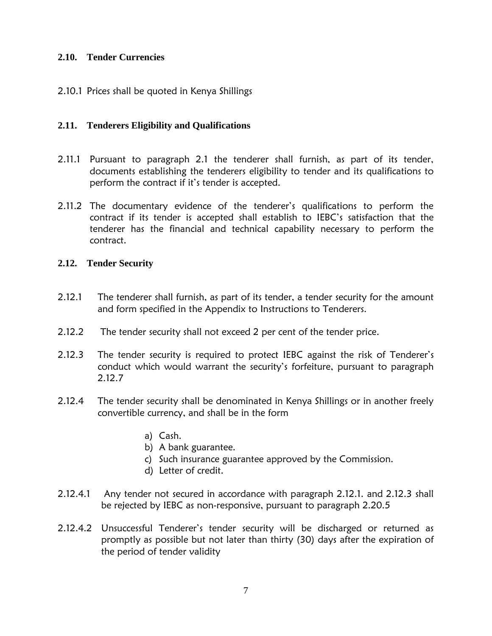### <span id="page-6-0"></span>**2.10. Tender Currencies**

2.10.1 Prices shall be quoted in Kenya Shillings

### <span id="page-6-1"></span>**2.11. Tenderers Eligibility and Qualifications**

- 2.11.1 Pursuant to paragraph 2.1 the tenderer shall furnish, as part of its tender, documents establishing the tenderers eligibility to tender and its qualifications to perform the contract if it's tender is accepted.
- 2.11.2 The documentary evidence of the tenderer's qualifications to perform the contract if its tender is accepted shall establish to IEBC's satisfaction that the tenderer has the financial and technical capability necessary to perform the contract.

### <span id="page-6-2"></span>**2.12. Tender Security**

- 2.12.1 The tenderer shall furnish, as part of its tender, a tender security for the amount and form specified in the Appendix to Instructions to Tenderers.
- 2.12.2 The tender security shall not exceed 2 per cent of the tender price.
- 2.12.3 The tender security is required to protect IEBC against the risk of Tenderer's conduct which would warrant the security's forfeiture, pursuant to paragraph 2.12.7
- 2.12.4 The tender security shall be denominated in Kenya Shillings or in another freely convertible currency, and shall be in the form
	- a) Cash.
	- b) A bank guarantee.
	- c) Such insurance guarantee approved by the Commission.
	- d) Letter of credit.
- 2.12.4.1 Any tender not secured in accordance with paragraph 2.12.1. and 2.12.3 shall be rejected by IEBC as non-responsive, pursuant to paragraph 2.20.5
- 2.12.4.2 Unsuccessful Tenderer's tender security will be discharged or returned as promptly as possible but not later than thirty (30) days after the expiration of the period of tender validity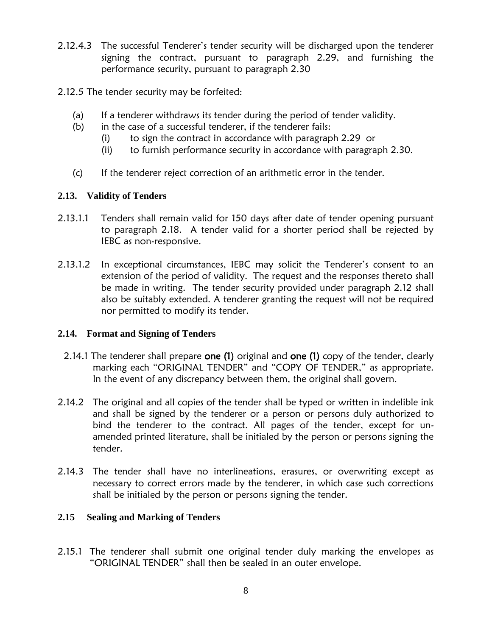- 2.12.4.3 The successful Tenderer's tender security will be discharged upon the tenderer signing the contract, pursuant to paragraph 2.29, and furnishing the performance security, pursuant to paragraph 2.30
- 2.12.5 The tender security may be forfeited:
	- (a) If a tenderer withdraws its tender during the period of tender validity.
	- (b) in the case of a successful tenderer, if the tenderer fails:
		- (i) to sign the contract in accordance with paragraph 2.29 or
		- (ii) to furnish performance security in accordance with paragraph 2.30.
	- (c) If the tenderer reject correction of an arithmetic error in the tender.

### <span id="page-7-0"></span>**2.13. Validity of Tenders**

- 2.13.1.1 Tenders shall remain valid for 150 days after date of tender opening pursuant to paragraph 2.18. A tender valid for a shorter period shall be rejected by IEBC as non-responsive.
- 2.13.1.2 In exceptional circumstances, IEBC may solicit the Tenderer's consent to an extension of the period of validity. The request and the responses thereto shall be made in writing. The tender security provided under paragraph 2.12 shall also be suitably extended. A tenderer granting the request will not be required nor permitted to modify its tender.

### <span id="page-7-1"></span>**2.14. Format and Signing of Tenders**

- 2.14.1 The tenderer shall prepare one (1) original and one (1) copy of the tender, clearly marking each "ORIGINAL TENDER" and "COPY OF TENDER," as appropriate. In the event of any discrepancy between them, the original shall govern.
- 2.14.2 The original and all copies of the tender shall be typed or written in indelible ink and shall be signed by the tenderer or a person or persons duly authorized to bind the tenderer to the contract. All pages of the tender, except for unamended printed literature, shall be initialed by the person or persons signing the tender.
- 2.14.3 The tender shall have no interlineations, erasures, or overwriting except as necessary to correct errors made by the tenderer, in which case such corrections shall be initialed by the person or persons signing the tender.

### <span id="page-7-2"></span>**2.15 Sealing and Marking of Tenders**

2.15.1 The tenderer shall submit one original tender duly marking the envelopes as "ORIGINAL TENDER" shall then be sealed in an outer envelope.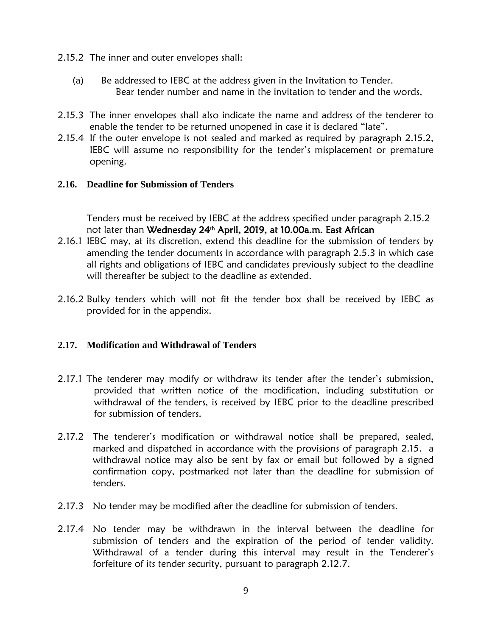- 2.15.2 The inner and outer envelopes shall:
	- (a) Be addressed to IEBC at the address given in the Invitation to Tender. Bear tender number and name in the invitation to tender and the words,
- 2.15.3 The inner envelopes shall also indicate the name and address of the tenderer to enable the tender to be returned unopened in case it is declared "late".
- 2.15.4 If the outer envelope is not sealed and marked as required by paragraph 2.15.2, IEBC will assume no responsibility for the tender's misplacement or premature opening.

#### <span id="page-8-0"></span>**2.16. Deadline for Submission of Tenders**

Tenders must be received by IEBC at the address specified under paragraph 2.15.2 not later than Wednesday 24<sup>th</sup> April, 2019, at 10.00a.m. East African

- 2.16.1 IEBC may, at its discretion, extend this deadline for the submission of tenders by amending the tender documents in accordance with paragraph 2.5.3 in which case all rights and obligations of IEBC and candidates previously subject to the deadline will thereafter be subject to the deadline as extended.
- 2.16.2 Bulky tenders which will not fit the tender box shall be received by IEBC as provided for in the appendix.

### <span id="page-8-1"></span>**2.17. Modification and Withdrawal of Tenders**

- 2.17.1 The tenderer may modify or withdraw its tender after the tender's submission, provided that written notice of the modification, including substitution or withdrawal of the tenders, is received by IEBC prior to the deadline prescribed for submission of tenders.
- 2.17.2 The tenderer's modification or withdrawal notice shall be prepared, sealed, marked and dispatched in accordance with the provisions of paragraph 2.15. a withdrawal notice may also be sent by fax or email but followed by a signed confirmation copy, postmarked not later than the deadline for submission of tenders.
- 2.17.3 No tender may be modified after the deadline for submission of tenders.
- 2.17.4 No tender may be withdrawn in the interval between the deadline for submission of tenders and the expiration of the period of tender validity. Withdrawal of a tender during this interval may result in the Tenderer's forfeiture of its tender security, pursuant to paragraph 2.12.7.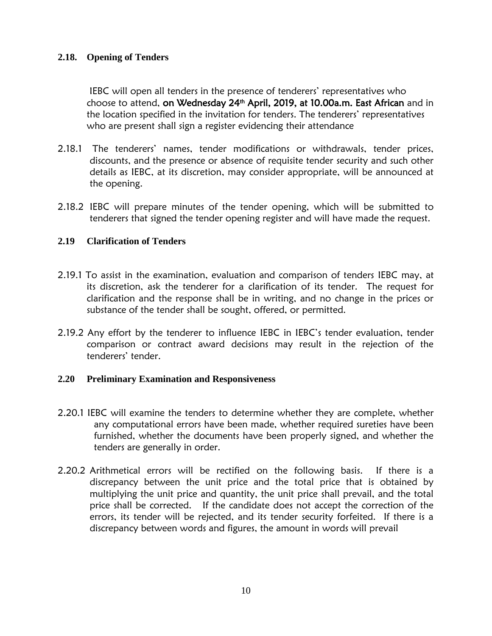### <span id="page-9-0"></span>**2.18. Opening of Tenders**

IEBC will open all tenders in the presence of tenderers' representatives who choose to attend, on Wednesday 24<sup>th</sup> April, 2019, at 10.00a.m. East African and in the location specified in the invitation for tenders. The tenderers' representatives who are present shall sign a register evidencing their attendance

- 2.18.1 The tenderers' names, tender modifications or withdrawals, tender prices, discounts, and the presence or absence of requisite tender security and such other details as IEBC, at its discretion, may consider appropriate, will be announced at the opening.
- 2.18.2 IEBC will prepare minutes of the tender opening, which will be submitted to tenderers that signed the tender opening register and will have made the request.

### <span id="page-9-1"></span>**2.19 Clarification of Tenders**

- 2.19.1 To assist in the examination, evaluation and comparison of tenders IEBC may, at its discretion, ask the tenderer for a clarification of its tender. The request for clarification and the response shall be in writing, and no change in the prices or substance of the tender shall be sought, offered, or permitted.
- 2.19.2 Any effort by the tenderer to influence IEBC in IEBC's tender evaluation, tender comparison or contract award decisions may result in the rejection of the tenderers' tender.

#### <span id="page-9-2"></span>**2.20 Preliminary Examination and Responsiveness**

- 2.20.1 IEBC will examine the tenders to determine whether they are complete, whether any computational errors have been made, whether required sureties have been furnished, whether the documents have been properly signed, and whether the tenders are generally in order.
- 2.20.2 Arithmetical errors will be rectified on the following basis. If there is a discrepancy between the unit price and the total price that is obtained by multiplying the unit price and quantity, the unit price shall prevail, and the total price shall be corrected. If the candidate does not accept the correction of the errors, its tender will be rejected, and its tender security forfeited. If there is a discrepancy between words and figures, the amount in words will prevail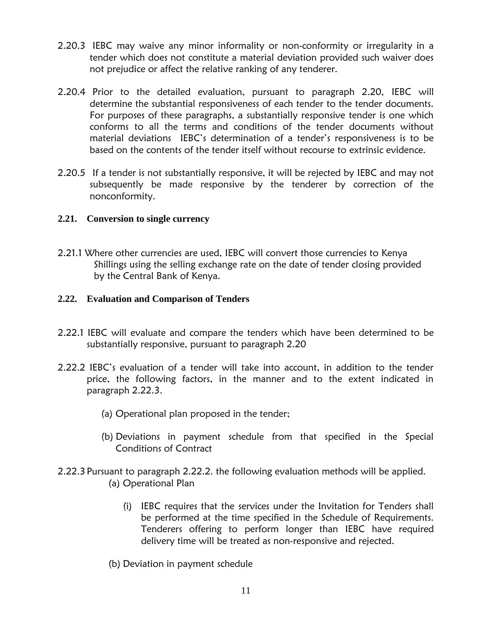- 2.20.3 IEBC may waive any minor informality or non-conformity or irregularity in a tender which does not constitute a material deviation provided such waiver does not prejudice or affect the relative ranking of any tenderer.
- 2.20.4 Prior to the detailed evaluation, pursuant to paragraph 2.20, IEBC will determine the substantial responsiveness of each tender to the tender documents. For purposes of these paragraphs, a substantially responsive tender is one which conforms to all the terms and conditions of the tender documents without material deviations IEBC's determination of a tender's responsiveness is to be based on the contents of the tender itself without recourse to extrinsic evidence.
- 2.20.5 If a tender is not substantially responsive, it will be rejected by IEBC and may not subsequently be made responsive by the tenderer by correction of the nonconformity.

### <span id="page-10-0"></span>**2.21. Conversion to single currency**

2.21.1 Where other currencies are used, IEBC will convert those currencies to Kenya Shillings using the selling exchange rate on the date of tender closing provided by the Central Bank of Kenya.

### <span id="page-10-1"></span>**2.22. Evaluation and Comparison of Tenders**

- 2.22.1 IEBC will evaluate and compare the tenders which have been determined to be substantially responsive, pursuant to paragraph 2.20
- 2.22.2 IEBC's evaluation of a tender will take into account, in addition to the tender price, the following factors, in the manner and to the extent indicated in paragraph 2.22.3.
	- (a) Operational plan proposed in the tender;
	- (b) Deviations in payment schedule from that specified in the Special Conditions of Contract
- 2.22.3 Pursuant to paragraph 2.22.2. the following evaluation methods will be applied. (a) Operational Plan
	- (i) IEBC requires that the services under the Invitation for Tenders shall be performed at the time specified in the Schedule of Requirements. Tenderers offering to perform longer than IEBC have required delivery time will be treated as non-responsive and rejected.
	- (b) Deviation in payment schedule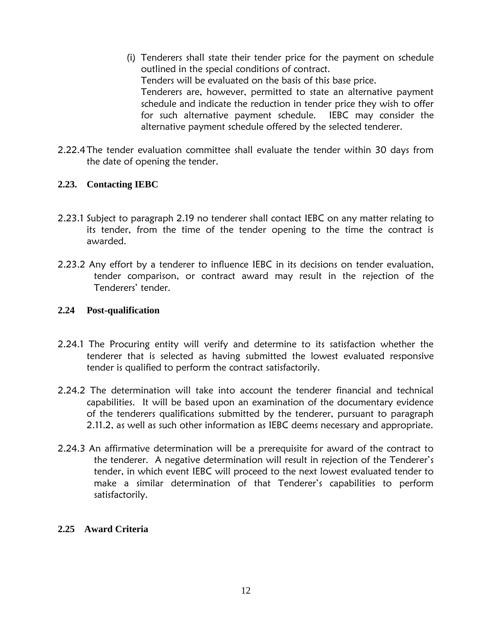- (i) Tenderers shall state their tender price for the payment on schedule outlined in the special conditions of contract. Tenders will be evaluated on the basis of this base price. Tenderers are, however, permitted to state an alternative payment schedule and indicate the reduction in tender price they wish to offer for such alternative payment schedule. IEBC may consider the alternative payment schedule offered by the selected tenderer.
- 2.22.4The tender evaluation committee shall evaluate the tender within 30 days from the date of opening the tender.

### <span id="page-11-0"></span>**2.23. Contacting IEBC**

- 2.23.1 Subject to paragraph 2.19 no tenderer shall contact IEBC on any matter relating to its tender, from the time of the tender opening to the time the contract is awarded.
- 2.23.2 Any effort by a tenderer to influence IEBC in its decisions on tender evaluation, tender comparison, or contract award may result in the rejection of the Tenderers' tender.

#### <span id="page-11-1"></span>**2.24 Post-qualification**

- 2.24.1 The Procuring entity will verify and determine to its satisfaction whether the tenderer that is selected as having submitted the lowest evaluated responsive tender is qualified to perform the contract satisfactorily.
- 2.24.2 The determination will take into account the tenderer financial and technical capabilities. It will be based upon an examination of the documentary evidence of the tenderers qualifications submitted by the tenderer, pursuant to paragraph 2.11.2, as well as such other information as IEBC deems necessary and appropriate.
- 2.24.3 An affirmative determination will be a prerequisite for award of the contract to the tenderer. A negative determination will result in rejection of the Tenderer's tender, in which event IEBC will proceed to the next lowest evaluated tender to make a similar determination of that Tenderer's capabilities to perform satisfactorily.

#### <span id="page-11-2"></span>**2.25 Award Criteria**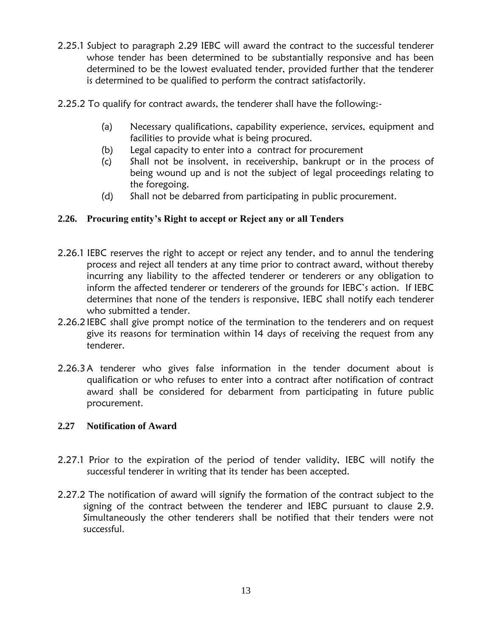- 2.25.1 Subject to paragraph 2.29 IEBC will award the contract to the successful tenderer whose tender has been determined to be substantially responsive and has been determined to be the lowest evaluated tender, provided further that the tenderer is determined to be qualified to perform the contract satisfactorily.
- 2.25.2 To qualify for contract awards, the tenderer shall have the following:-
	- (a) Necessary qualifications, capability experience, services, equipment and facilities to provide what is being procured.
	- (b) Legal capacity to enter into a contract for procurement
	- (c) Shall not be insolvent, in receivership, bankrupt or in the process of being wound up and is not the subject of legal proceedings relating to the foregoing.
	- (d) Shall not be debarred from participating in public procurement.

### <span id="page-12-0"></span>**2.26. Procuring entity's Right to accept or Reject any or all Tenders**

- 2.26.1 IEBC reserves the right to accept or reject any tender, and to annul the tendering process and reject all tenders at any time prior to contract award, without thereby incurring any liability to the affected tenderer or tenderers or any obligation to inform the affected tenderer or tenderers of the grounds for IEBC's action. If IEBC determines that none of the tenders is responsive, IEBC shall notify each tenderer who submitted a tender.
- 2.26.2 IEBC shall give prompt notice of the termination to the tenderers and on request give its reasons for termination within 14 days of receiving the request from any tenderer.
- 2.26.3A tenderer who gives false information in the tender document about is qualification or who refuses to enter into a contract after notification of contract award shall be considered for debarment from participating in future public procurement.

### <span id="page-12-1"></span>**2.27 Notification of Award**

- 2.27.1 Prior to the expiration of the period of tender validity, IEBC will notify the successful tenderer in writing that its tender has been accepted.
- 2.27.2 The notification of award will signify the formation of the contract subject to the signing of the contract between the tenderer and IEBC pursuant to clause 2.9. Simultaneously the other tenderers shall be notified that their tenders were not successful.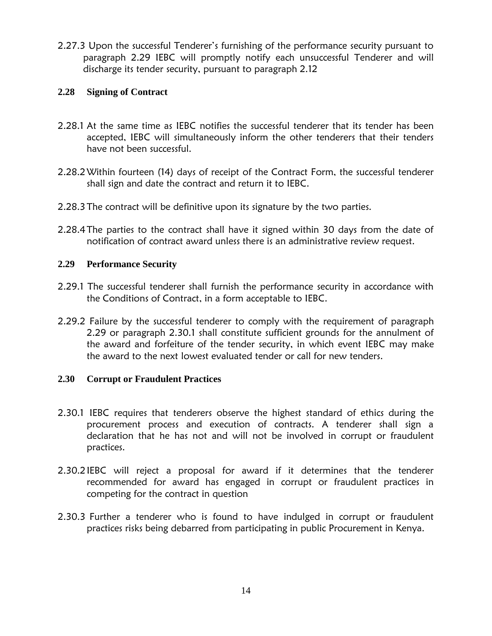2.27.3 Upon the successful Tenderer's furnishing of the performance security pursuant to paragraph 2.29 IEBC will promptly notify each unsuccessful Tenderer and will discharge its tender security, pursuant to paragraph 2.12

### <span id="page-13-0"></span>**2.28 Signing of Contract**

- 2.28.1 At the same time as IEBC notifies the successful tenderer that its tender has been accepted, IEBC will simultaneously inform the other tenderers that their tenders have not been successful.
- 2.28.2Within fourteen (14) days of receipt of the Contract Form, the successful tenderer shall sign and date the contract and return it to IEBC.
- 2.28.3The contract will be definitive upon its signature by the two parties.
- 2.28.4The parties to the contract shall have it signed within 30 days from the date of notification of contract award unless there is an administrative review request.

### <span id="page-13-1"></span>**2.29 Performance Security**

- 2.29.1 The successful tenderer shall furnish the performance security in accordance with the Conditions of Contract, in a form acceptable to IEBC.
- 2.29.2 Failure by the successful tenderer to comply with the requirement of paragraph 2.29 or paragraph 2.30.1 shall constitute sufficient grounds for the annulment of the award and forfeiture of the tender security, in which event IEBC may make the award to the next lowest evaluated tender or call for new tenders.

### <span id="page-13-2"></span>**2.30 Corrupt or Fraudulent Practices**

- 2.30.1 IEBC requires that tenderers observe the highest standard of ethics during the procurement process and execution of contracts. A tenderer shall sign a declaration that he has not and will not be involved in corrupt or fraudulent practices.
- 2.30.2IEBC will reject a proposal for award if it determines that the tenderer recommended for award has engaged in corrupt or fraudulent practices in competing for the contract in question
- 2.30.3 Further a tenderer who is found to have indulged in corrupt or fraudulent practices risks being debarred from participating in public Procurement in Kenya.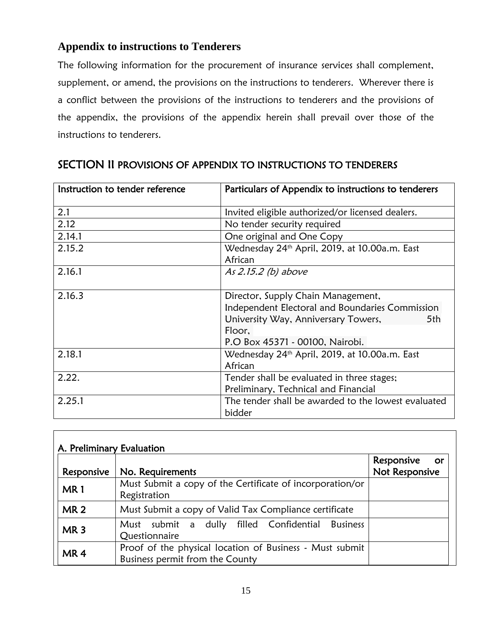### **Appendix to instructions to Tenderers**

The following information for the procurement of insurance services shall complement, supplement, or amend, the provisions on the instructions to tenderers. Wherever there is a conflict between the provisions of the instructions to tenderers and the provisions of the appendix, the provisions of the appendix herein shall prevail over those of the instructions to tenderers.

| Instruction to tender reference | Particulars of Appendix to instructions to tenderers      |  |  |
|---------------------------------|-----------------------------------------------------------|--|--|
| 2.1                             | Invited eligible authorized/or licensed dealers.          |  |  |
| 2.12                            | No tender security required                               |  |  |
| 2.14.1                          | One original and One Copy                                 |  |  |
| 2.15.2                          | Wednesday 24th April, 2019, at 10.00a.m. East             |  |  |
|                                 | African                                                   |  |  |
| 2.16.1                          | As 2.15.2 (b) above                                       |  |  |
| 2.16.3                          | Director, Supply Chain Management,                        |  |  |
|                                 | Independent Electoral and Boundaries Commission           |  |  |
|                                 | University Way, Anniversary Towers,<br>5th                |  |  |
|                                 | Floor,                                                    |  |  |
|                                 | P.O Box 45371 - 00100, Nairobi.                           |  |  |
| 2.18.1                          | Wednesday 24 <sup>th</sup> April, 2019, at 10.00a.m. East |  |  |
|                                 | African                                                   |  |  |
| 2.22.                           | Tender shall be evaluated in three stages;                |  |  |
|                                 | Preliminary, Technical and Financial                      |  |  |
| 2.25.1                          | The tender shall be awarded to the lowest evaluated       |  |  |
|                                 | bidder                                                    |  |  |

### SECTION II PROVISIONS OF APPENDIX TO INSTRUCTIONS TO TENDERERS

| A. Preliminary Evaluation |                                                                                             |                                           |
|---------------------------|---------------------------------------------------------------------------------------------|-------------------------------------------|
| Responsive                | No. Requirements                                                                            | Responsive<br><b>or</b><br>Not Responsive |
| MR <sub>1</sub>           | Must Submit a copy of the Certificate of incorporation/or<br>Registration                   |                                           |
| <b>MR2</b>                | Must Submit a copy of Valid Tax Compliance certificate                                      |                                           |
| MR <sub>3</sub>           | submit a dully filled Confidential Business<br>Must<br>Questionnaire                        |                                           |
| MR <sub>4</sub>           | Proof of the physical location of Business - Must submit<br>Business permit from the County |                                           |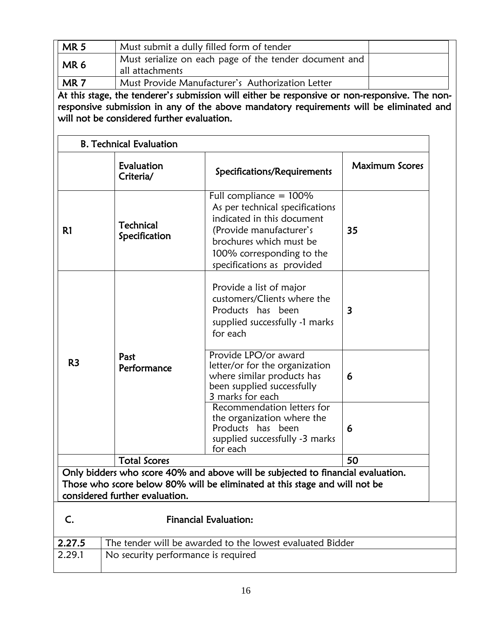| <b>MR5</b>      | Must submit a dully filled form of tender                                 |  |
|-----------------|---------------------------------------------------------------------------|--|
| MR <sub>6</sub> | Must serialize on each page of the tender document and<br>all attachments |  |
| MR <sub>7</sub> | Must Provide Manufacturer's Authorization Letter                          |  |

At this stage, the tenderer's submission will either be responsive or non-responsive. The nonresponsive submission in any of the above mandatory requirements will be eliminated and will not be considered further evaluation.

|                     | <b>B. Technical Evaluation</b>    |                                                                                                                                                                                                             |                       |
|---------------------|-----------------------------------|-------------------------------------------------------------------------------------------------------------------------------------------------------------------------------------------------------------|-----------------------|
|                     | Evaluation<br>Criteria/           | Specifications/Requirements                                                                                                                                                                                 | <b>Maximum Scores</b> |
| R1                  | <b>Technical</b><br>Specification | Full compliance $= 100\%$<br>As per technical specifications<br>indicated in this document<br>(Provide manufacturer's<br>brochures which must be<br>100% corresponding to the<br>specifications as provided | 35                    |
|                     |                                   | Provide a list of major<br>customers/Clients where the<br>Products has been<br>supplied successfully -1 marks<br>for each                                                                                   | 3                     |
| R <sub>3</sub>      | Past<br>Performance               | Provide LPO/or award<br>letter/or for the organization<br>where similar products has<br>been supplied successfully<br>3 marks for each                                                                      | 6                     |
|                     |                                   | Recommendation letters for<br>the organization where the<br>Products has been<br>supplied successfully -3 marks<br>for each                                                                                 | 6                     |
| <b>Total Scores</b> |                                   |                                                                                                                                                                                                             | 50                    |
|                     | considered further evaluation.    | Only bidders who score 40% and above will be subjected to financial evaluation.<br>Those who score below 80% will be eliminated at this stage and will not be                                               |                       |
| C.                  |                                   | <b>Financial Evaluation:</b>                                                                                                                                                                                |                       |
|                     |                                   |                                                                                                                                                                                                             |                       |
| 2.27.5              |                                   | The tender will be awarded to the lowest evaluated Bidder                                                                                                                                                   |                       |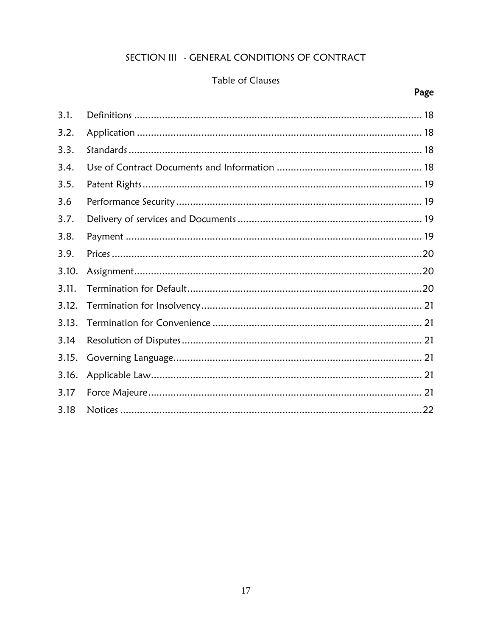### SECTION III - GENERAL CONDITIONS OF CONTRACT

### Table of Clauses

## Page

| 3.1.  |  |
|-------|--|
| 3.2.  |  |
| 3.3.  |  |
| 3.4.  |  |
| 3.5.  |  |
| 3.6   |  |
| 3.7.  |  |
| 3.8.  |  |
| 3.9.  |  |
| 3.10. |  |
| 3.11. |  |
| 3.12. |  |
| 3.13. |  |
| 3.14  |  |
| 3.15. |  |
| 3.16. |  |
| 3.17  |  |
| 3.18  |  |
|       |  |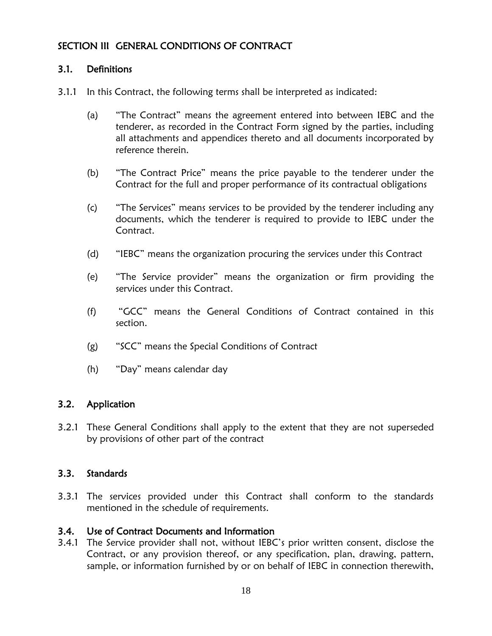### SECTION III GENERAL CONDITIONS OF CONTRACT

### <span id="page-17-0"></span>3.1. Definitions

- 3.1.1 In this Contract, the following terms shall be interpreted as indicated:
	- (a) "The Contract" means the agreement entered into between IEBC and the tenderer, as recorded in the Contract Form signed by the parties, including all attachments and appendices thereto and all documents incorporated by reference therein.
	- (b) "The Contract Price" means the price payable to the tenderer under the Contract for the full and proper performance of its contractual obligations
	- (c) "The Services" means services to be provided by the tenderer including any documents, which the tenderer is required to provide to IEBC under the Contract.
	- (d) "IEBC" means the organization procuring the services under this Contract
	- (e) "The Service provider" means the organization or firm providing the services under this Contract.
	- (f) "GCC" means the General Conditions of Contract contained in this section.
	- (g) "SCC" means the Special Conditions of Contract
	- (h) "Day" means calendar day

### <span id="page-17-1"></span>3.2. Application

3.2.1 These General Conditions shall apply to the extent that they are not superseded by provisions of other part of the contract

### <span id="page-17-2"></span>3.3. Standards

3.3.1 The services provided under this Contract shall conform to the standards mentioned in the schedule of requirements.

### <span id="page-17-3"></span>3.4. Use of Contract Documents and Information

3.4.1 The Service provider shall not, without IEBC's prior written consent, disclose the Contract, or any provision thereof, or any specification, plan, drawing, pattern, sample, or information furnished by or on behalf of IEBC in connection therewith,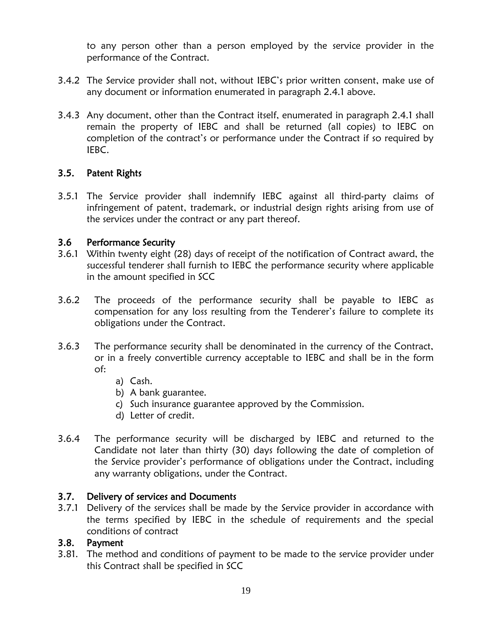to any person other than a person employed by the service provider in the performance of the Contract.

- 3.4.2 The Service provider shall not, without IEBC's prior written consent, make use of any document or information enumerated in paragraph 2.4.1 above.
- 3.4.3 Any document, other than the Contract itself, enumerated in paragraph 2.4.1 shall remain the property of IEBC and shall be returned (all copies) to IEBC on completion of the contract's or performance under the Contract if so required by IEBC.

### <span id="page-18-0"></span>3.5. Patent Rights

3.5.1 The Service provider shall indemnify IEBC against all third-party claims of infringement of patent, trademark, or industrial design rights arising from use of the services under the contract or any part thereof.

### <span id="page-18-1"></span>3.6 Performance Security

- 3.6.1 Within twenty eight (28) days of receipt of the notification of Contract award, the successful tenderer shall furnish to IEBC the performance security where applicable in the amount specified in SCC
- 3.6.2 The proceeds of the performance security shall be payable to IEBC as compensation for any loss resulting from the Tenderer's failure to complete its obligations under the Contract.
- 3.6.3 The performance security shall be denominated in the currency of the Contract, or in a freely convertible currency acceptable to IEBC and shall be in the form of:
	- a) Cash.
	- b) A bank guarantee.
	- c) Such insurance guarantee approved by the Commission.
	- d) Letter of credit.
- 3.6.4 The performance security will be discharged by IEBC and returned to the Candidate not later than thirty (30) days following the date of completion of the Service provider's performance of obligations under the Contract, including any warranty obligations, under the Contract.

### <span id="page-18-2"></span>3.7. Delivery of services and Documents

3.7.1 Delivery of the services shall be made by the Service provider in accordance with the terms specified by IEBC in the schedule of requirements and the special conditions of contract

### <span id="page-18-3"></span>3.8. Payment

3.81. The method and conditions of payment to be made to the service provider under this Contract shall be specified in SCC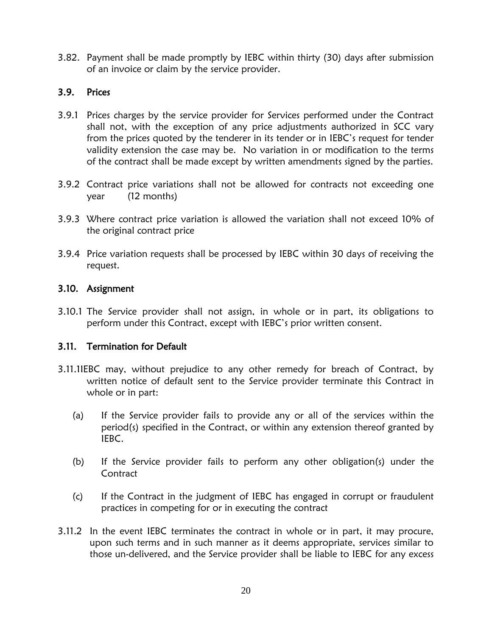3.82. Payment shall be made promptly by IEBC within thirty (30) days after submission of an invoice or claim by the service provider.

### <span id="page-19-0"></span>3.9. Prices

- 3.9.1 Prices charges by the service provider for Services performed under the Contract shall not, with the exception of any price adjustments authorized in SCC vary from the prices quoted by the tenderer in its tender or in IEBC's request for tender validity extension the case may be. No variation in or modification to the terms of the contract shall be made except by written amendments signed by the parties.
- 3.9.2 Contract price variations shall not be allowed for contracts not exceeding one year (12 months)
- 3.9.3 Where contract price variation is allowed the variation shall not exceed 10% of the original contract price
- 3.9.4 Price variation requests shall be processed by IEBC within 30 days of receiving the request.

### <span id="page-19-1"></span>3.10. Assignment

3.10.1 The Service provider shall not assign, in whole or in part, its obligations to perform under this Contract, except with IEBC's prior written consent.

### <span id="page-19-2"></span>3.11. Termination for Default

- 3.11.1IEBC may, without prejudice to any other remedy for breach of Contract, by written notice of default sent to the Service provider terminate this Contract in whole or in part:
	- (a) If the Service provider fails to provide any or all of the services within the period(s) specified in the Contract, or within any extension thereof granted by IEBC.
	- (b) If the Service provider fails to perform any other obligation(s) under the **Contract**
	- (c) If the Contract in the judgment of IEBC has engaged in corrupt or fraudulent practices in competing for or in executing the contract
- 3.11.2 In the event IEBC terminates the contract in whole or in part, it may procure, upon such terms and in such manner as it deems appropriate, services similar to those un-delivered, and the Service provider shall be liable to IEBC for any excess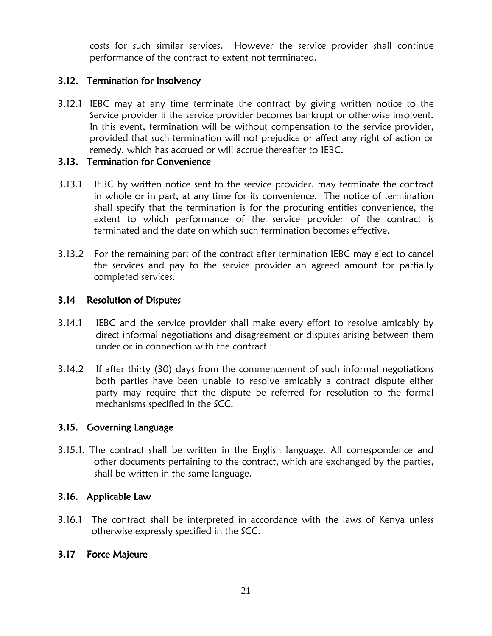costs for such similar services. However the service provider shall continue performance of the contract to extent not terminated.

### <span id="page-20-0"></span>3.12. Termination for Insolvency

3.12.1 IEBC may at any time terminate the contract by giving written notice to the Service provider if the service provider becomes bankrupt or otherwise insolvent. In this event, termination will be without compensation to the service provider, provided that such termination will not prejudice or affect any right of action or remedy, which has accrued or will accrue thereafter to IEBC.

### <span id="page-20-1"></span>3.13. Termination for Convenience

- 3.13.1 IEBC by written notice sent to the service provider, may terminate the contract in whole or in part, at any time for its convenience. The notice of termination shall specify that the termination is for the procuring entities convenience, the extent to which performance of the service provider of the contract is terminated and the date on which such termination becomes effective.
- 3.13.2 For the remaining part of the contract after termination IEBC may elect to cancel the services and pay to the service provider an agreed amount for partially completed services.

### <span id="page-20-2"></span>3.14 Resolution of Disputes

- 3.14.1 IEBC and the service provider shall make every effort to resolve amicably by direct informal negotiations and disagreement or disputes arising between them under or in connection with the contract
- 3.14.2 If after thirty (30) days from the commencement of such informal negotiations both parties have been unable to resolve amicably a contract dispute either party may require that the dispute be referred for resolution to the formal mechanisms specified in the SCC.

### <span id="page-20-3"></span>3.15. Governing Language

3.15.1. The contract shall be written in the English language. All correspondence and other documents pertaining to the contract, which are exchanged by the parties, shall be written in the same language.

### <span id="page-20-4"></span>3.16. Applicable Law

3.16.1 The contract shall be interpreted in accordance with the laws of Kenya unless otherwise expressly specified in the SCC.

### <span id="page-20-5"></span>3.17 Force Majeure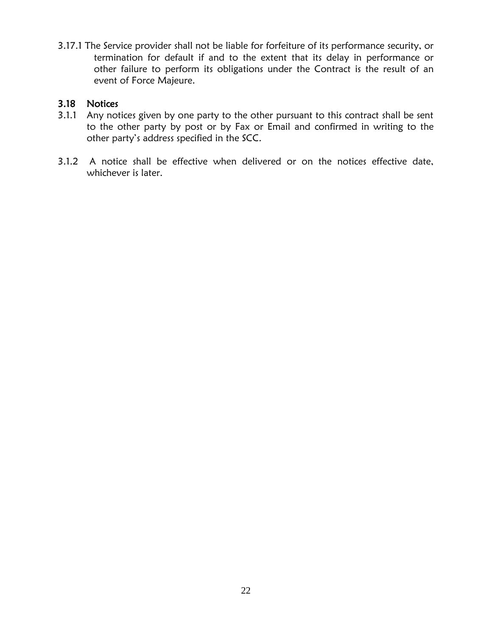3.17.1 The Service provider shall not be liable for forfeiture of its performance security, or termination for default if and to the extent that its delay in performance or other failure to perform its obligations under the Contract is the result of an event of Force Majeure.

### <span id="page-21-0"></span>3.18 Notices

- 3.1.1 Any notices given by one party to the other pursuant to this contract shall be sent to the other party by post or by Fax or Email and confirmed in writing to the other party's address specified in the SCC.
- 3.1.2 A notice shall be effective when delivered or on the notices effective date, whichever is later.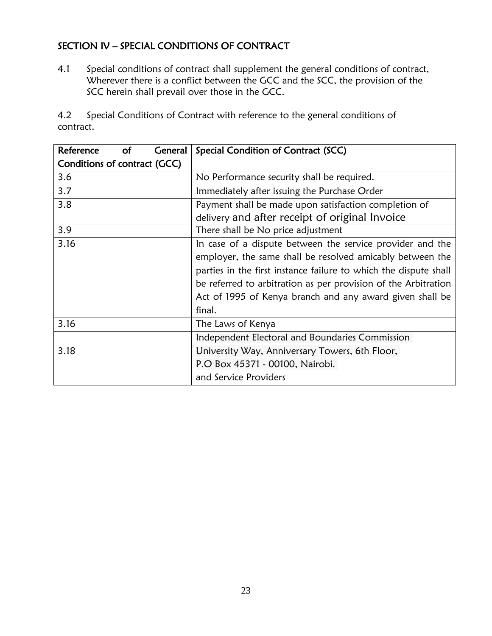### SECTION IV – SPECIAL CONDITIONS OF CONTRACT

4.1 Special conditions of contract shall supplement the general conditions of contract, Wherever there is a conflict between the GCC and the SCC, the provision of the SCC herein shall prevail over those in the GCC.

4.2 Special Conditions of Contract with reference to the general conditions of contract.

| Reference<br>General<br><b>of</b> | Special Condition of Contract (SCC)                              |
|-----------------------------------|------------------------------------------------------------------|
| Conditions of contract (GCC)      |                                                                  |
| 3.6                               | No Performance security shall be required.                       |
| 3.7                               | Immediately after issuing the Purchase Order                     |
| 3.8                               | Payment shall be made upon satisfaction completion of            |
|                                   | delivery and after receipt of original Invoice                   |
| 3.9                               | There shall be No price adjustment                               |
| 3.16                              | In case of a dispute between the service provider and the        |
|                                   | employer, the same shall be resolved amicably between the        |
|                                   | parties in the first instance failure to which the dispute shall |
|                                   | be referred to arbitration as per provision of the Arbitration   |
|                                   | Act of 1995 of Kenya branch and any award given shall be         |
|                                   | final.                                                           |
| 3.16                              | The Laws of Kenya                                                |
|                                   | Independent Electoral and Boundaries Commission                  |
| 3.18                              | University Way, Anniversary Towers, 6th Floor,                   |
|                                   | P.O Box 45371 - 00100, Nairobi.                                  |
|                                   | and Service Providers                                            |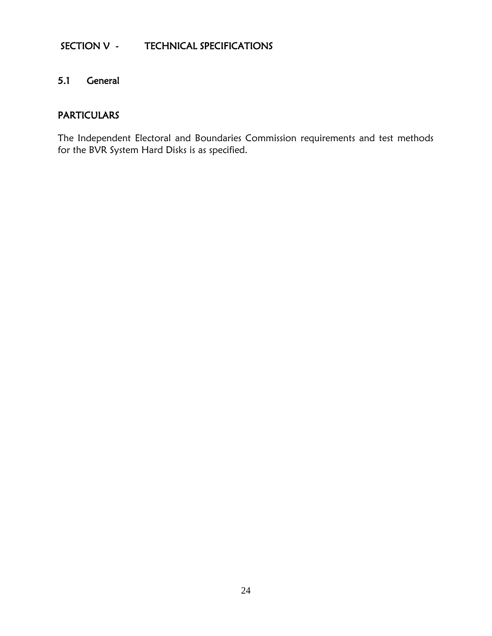### SECTION V - TECHNICAL SPECIFICATIONS

### 5.1 General

### **PARTICULARS**

The Independent Electoral and Boundaries Commission requirements and test methods for the BVR System Hard Disks is as specified.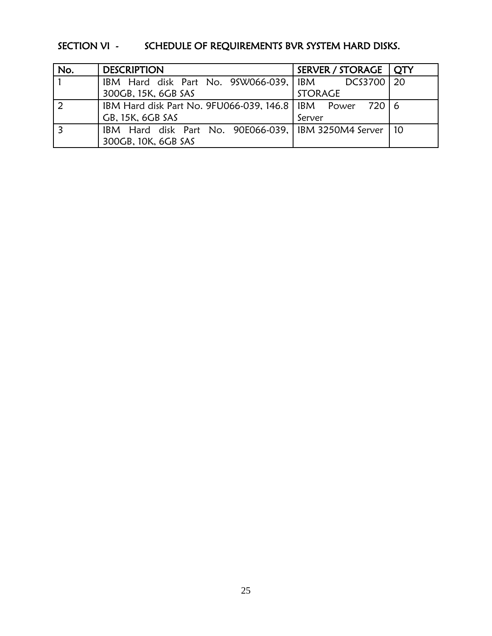## SECTION VI - SCHEDULE OF REQUIREMENTS BVR SYSTEM HARD DISKS.

| No. | <b>DESCRIPTION</b>                                           | SERVER / STORAGE   QTY |    |
|-----|--------------------------------------------------------------|------------------------|----|
|     | IBM Hard disk Part No. 9SW066-039, IBM DCS3700               |                        | 20 |
|     | 300GB, 15K, 6GB SAS                                          | <b>STORAGE</b>         |    |
|     | IBM Hard disk Part No. 9FU066-039, 146.8   IBM Power 720   6 |                        |    |
|     | GB, 15K, 6GB SAS                                             | Server                 |    |
|     | IBM Hard disk Part No. 90E066-039,   IBM 3250M4 Server   10  |                        |    |
|     | 300GB, 10K, 6GB SAS                                          |                        |    |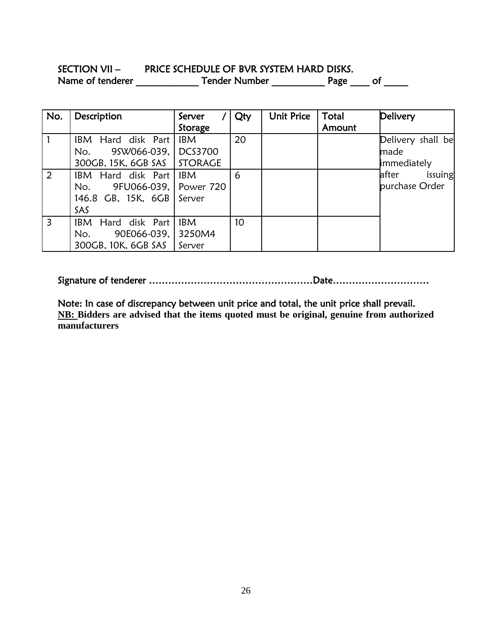### SECTION VII - PRICE SCHEDULE OF BVR SYSTEM HARD DISKS. Name of tenderer \_\_\_\_\_\_\_\_\_\_\_\_\_\_\_\_\_ Tender Number \_\_\_\_\_\_\_\_\_\_\_\_\_\_ Page \_\_\_\_\_ of \_\_\_\_\_\_

| No.            | Description                                                                                  | Server               | Qty             | Unit Price | Total  | Delivery                                 |
|----------------|----------------------------------------------------------------------------------------------|----------------------|-----------------|------------|--------|------------------------------------------|
|                |                                                                                              | Storage              |                 |            | Amount |                                          |
|                | IBM Hard disk Part<br>No. 95W066-039, DCS3700<br>300GB, 15K, 6GB SAS   STORAGE               | <b>IBM</b>           | 20              |            |        | Delivery shall be<br>made<br>immediately |
| 2              | <b>IBM</b> Hard disk Part<br>No. 9FU066-039, Power 720<br>146.8 GB, 15K, 6GB   Server<br>SAS | <b>IBM</b>           | 6               |            |        | after<br>issuing<br>purchase Order       |
| $\overline{3}$ | IBM Hard disk Part<br>90E066-039, 3250M4<br>No.<br>300GB, 10K, 6GB SAS                       | <b>IBM</b><br>Server | 10 <sup>°</sup> |            |        |                                          |

Signature of tenderer ……………………………………………Date…………………………

Note: In case of discrepancy between unit price and total, the unit price shall prevail. **NB: Bidders are advised that the items quoted must be original, genuine from authorized manufacturers**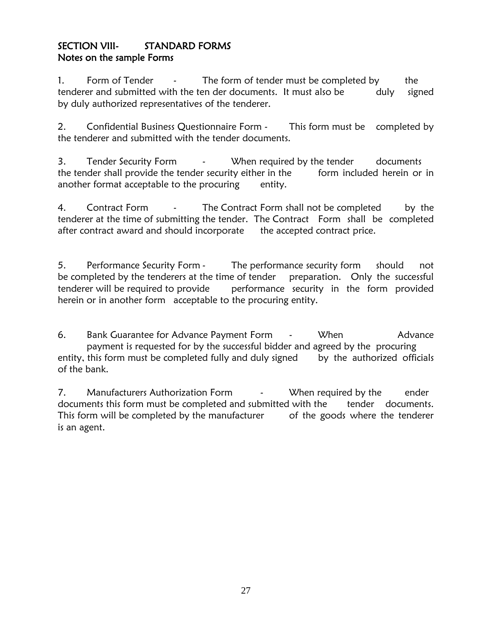### SECTION VIII- STANDARD FORMS Notes on the sample Forms

1. Form of Tender - The form of tender must be completed by the tenderer and submitted with the ten der documents. It must also be duly signed by duly authorized representatives of the tenderer.

2. Confidential Business Questionnaire Form - This form must be completed by the tenderer and submitted with the tender documents.

3. Tender Security Form - When required by the tender documents the tender shall provide the tender security either in the form included herein or in another format acceptable to the procuring entity.

4. Contract Form - The Contract Form shall not be completed by the tenderer at the time of submitting the tender. The Contract Form shall be completed after contract award and should incorporate the accepted contract price.

5. Performance Security Form - The performance security form should not be completed by the tenderers at the time of tender preparation. Only the successful tenderer will be required to provide performance security in the form provided herein or in another form acceptable to the procuring entity.

6. Bank Guarantee for Advance Payment Form - When Advance payment is requested for by the successful bidder and agreed by the procuring entity, this form must be completed fully and duly signed by the authorized officials of the bank.

7. Manufacturers Authorization Form  $\cdot$  When required by the ender documents this form must be completed and submitted with the tender documents. This form will be completed by the manufacturer of the goods where the tenderer is an agent.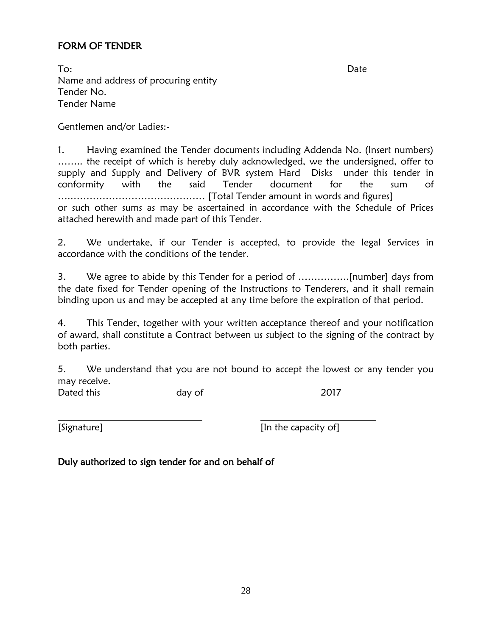### FORM OF TENDER

To: Date Name and address of procuring entity Tender No. Tender Name

Gentlemen and/or Ladies:-

1. Having examined the Tender documents including Addenda No. (Insert numbers) …….. the receipt of which is hereby duly acknowledged, we the undersigned, offer to supply and Supply and Delivery of BVR system Hard Disks under this tender in conformity with the said Tender document for the sum of ….…………………………………… [Total Tender amount in words and figures] or such other sums as may be ascertained in accordance with the Schedule of Prices attached herewith and made part of this Tender.

2. We undertake, if our Tender is accepted, to provide the legal Services in accordance with the conditions of the tender.

3. We agree to abide by this Tender for a period of …………….[number] days from the date fixed for Tender opening of the Instructions to Tenderers, and it shall remain binding upon us and may be accepted at any time before the expiration of that period.

4. This Tender, together with your written acceptance thereof and your notification of award, shall constitute a Contract between us subject to the signing of the contract by both parties.

5. We understand that you are not bound to accept the lowest or any tender you may receive.

Dated this day of 2017

[Signature] **[In the capacity of]** 

Duly authorized to sign tender for and on behalf of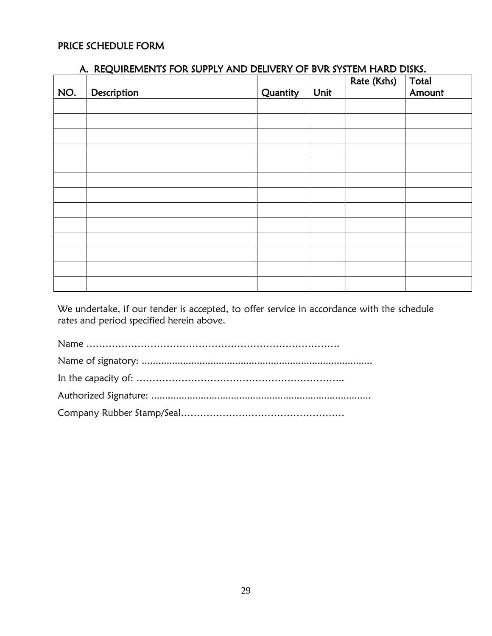### PRICE SCHEDULE FORM

|  |  |  |  | A. REQUIREMENTS FOR SUPPLY AND DELIVERY OF BVR SYSTEM HARD DISKS. |
|--|--|--|--|-------------------------------------------------------------------|
|--|--|--|--|-------------------------------------------------------------------|

| NO. | Description | Quantity | Unit | Rate (Kshs) | Total<br>Amount |
|-----|-------------|----------|------|-------------|-----------------|
|     |             |          |      |             |                 |
|     |             |          |      |             |                 |
|     |             |          |      |             |                 |
|     |             |          |      |             |                 |
|     |             |          |      |             |                 |
|     |             |          |      |             |                 |
|     |             |          |      |             |                 |
|     |             |          |      |             |                 |
|     |             |          |      |             |                 |
|     |             |          |      |             |                 |
|     |             |          |      |             |                 |
|     |             |          |      |             |                 |
|     |             |          |      |             |                 |

We undertake, if our tender is accepted, to offer service in accordance with the schedule rates and period specified herein above.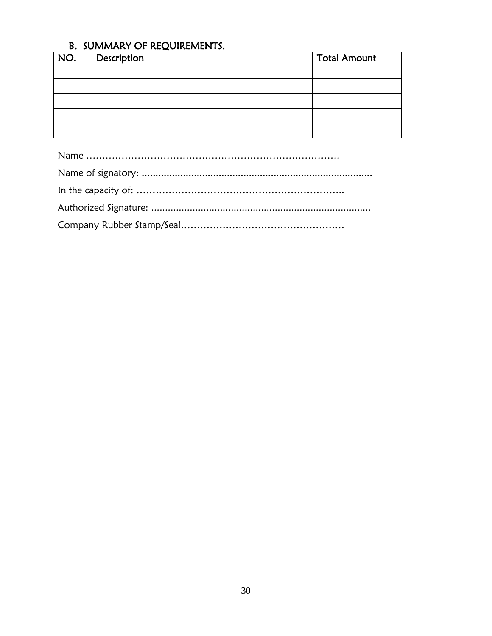### B. SUMMARY OF REQUIREMENTS.

| NO. | Description | <b>Total Amount</b> |
|-----|-------------|---------------------|
|     |             |                     |
|     |             |                     |
|     |             |                     |
|     |             |                     |
|     |             |                     |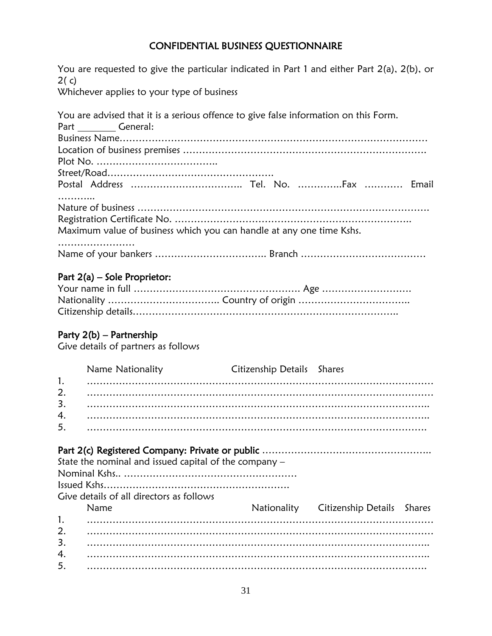### CONFIDENTIAL BUSINESS QUESTIONNAIRE

| 2(c)           | You are requested to give the particular indicated in Part 1 and either Part 2(a), 2(b), or                       |                            |                     |               |
|----------------|-------------------------------------------------------------------------------------------------------------------|----------------------------|---------------------|---------------|
|                | Whichever applies to your type of business                                                                        |                            |                     |               |
|                | You are advised that it is a serious offence to give false information on this Form.<br>Part ___________ General: |                            |                     |               |
|                |                                                                                                                   |                            |                     |               |
|                | Postal Address  Tel. No. Fax  Email                                                                               |                            |                     |               |
|                | Maximum value of business which you can handle at any one time Kshs.                                              |                            |                     |               |
|                |                                                                                                                   |                            |                     |               |
|                | Part $2(a)$ – Sole Proprietor:<br>Party 2(b) – Partnership                                                        |                            |                     |               |
|                | Give details of partners as follows                                                                               |                            |                     |               |
| 1.<br>2.<br>3. | Name Nationality                                                                                                  | Citizenship Details Shares |                     |               |
| 4.<br>5.       |                                                                                                                   |                            |                     |               |
|                | State the nominal and issued capital of the company $-$                                                           |                            |                     |               |
|                | Give details of all directors as follows<br>Name                                                                  | Nationality                | Citizenship Details | <b>Shares</b> |

1. ……………………………………………………………………………………………… 2. ……………………………………………………………………………………………… 3. …………………………………………………………………………………………….. 4. …………………………………………………………………………………………….. 5. …………………………………………………………………………………………….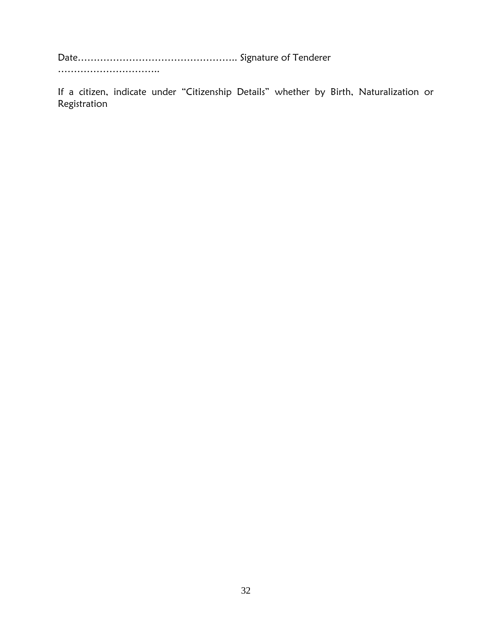Date………………………………………….. Signature of Tenderer

……………………………

If a citizen, indicate under "Citizenship Details" whether by Birth, Naturalization or Registration